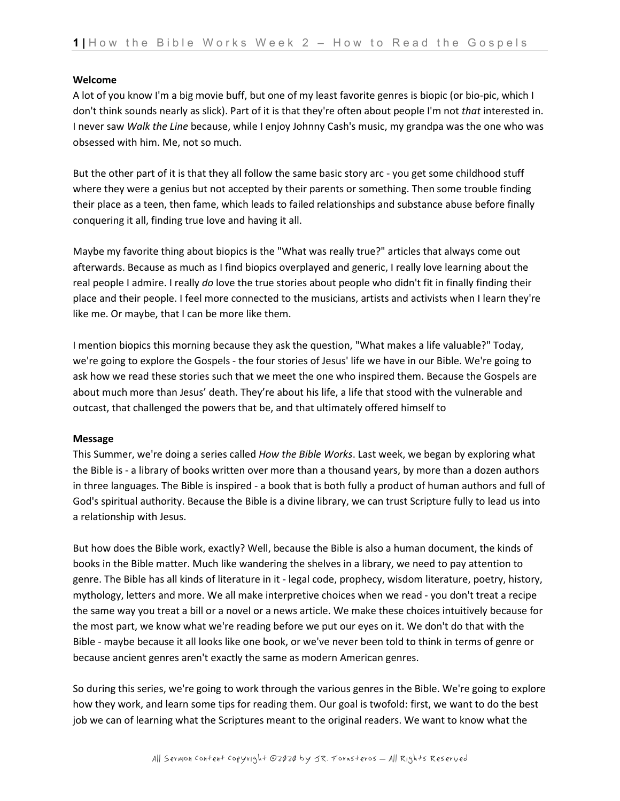### **Welcome**

A lot of you know I'm a big movie buff, but one of my least favorite genres is biopic (or bio-pic, which I don't think sounds nearly as slick). Part of it is that they're often about people I'm not *that* interested in. I never saw *Walk the Line* because, while I enjoy Johnny Cash's music, my grandpa was the one who was obsessed with him. Me, not so much.

But the other part of it is that they all follow the same basic story arc - you get some childhood stuff where they were a genius but not accepted by their parents or something. Then some trouble finding their place as a teen, then fame, which leads to failed relationships and substance abuse before finally conquering it all, finding true love and having it all.

Maybe my favorite thing about biopics is the "What was really true?" articles that always come out afterwards. Because as much as I find biopics overplayed and generic, I really love learning about the real people I admire. I really *do* love the true stories about people who didn't fit in finally finding their place and their people. I feel more connected to the musicians, artists and activists when I learn they're like me. Or maybe, that I can be more like them.

I mention biopics this morning because they ask the question, "What makes a life valuable?" Today, we're going to explore the Gospels - the four stories of Jesus' life we have in our Bible. We're going to ask how we read these stories such that we meet the one who inspired them. Because the Gospels are about much more than Jesus' death. They're about his life, a life that stood with the vulnerable and outcast, that challenged the powers that be, and that ultimately offered himself to

### **Message**

This Summer, we're doing a series called *How the Bible Works*. Last week, we began by exploring what the Bible is - a library of books written over more than a thousand years, by more than a dozen authors in three languages. The Bible is inspired - a book that is both fully a product of human authors and full of God's spiritual authority. Because the Bible is a divine library, we can trust Scripture fully to lead us into a relationship with Jesus.

But how does the Bible work, exactly? Well, because the Bible is also a human document, the kinds of books in the Bible matter. Much like wandering the shelves in a library, we need to pay attention to genre. The Bible has all kinds of literature in it - legal code, prophecy, wisdom literature, poetry, history, mythology, letters and more. We all make interpretive choices when we read - you don't treat a recipe the same way you treat a bill or a novel or a news article. We make these choices intuitively because for the most part, we know what we're reading before we put our eyes on it. We don't do that with the Bible - maybe because it all looks like one book, or we've never been told to think in terms of genre or because ancient genres aren't exactly the same as modern American genres.

So during this series, we're going to work through the various genres in the Bible. We're going to explore how they work, and learn some tips for reading them. Our goal is twofold: first, we want to do the best job we can of learning what the Scriptures meant to the original readers. We want to know what the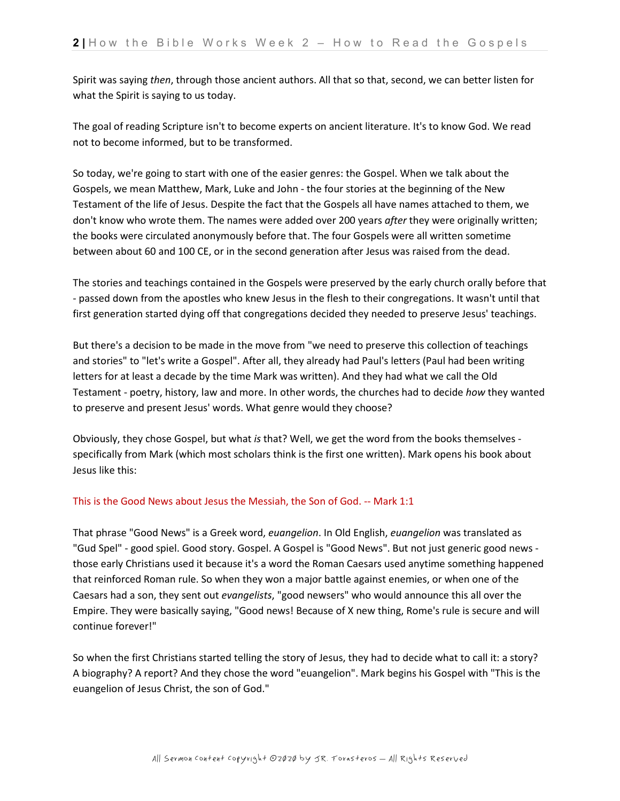Spirit was saying *then*, through those ancient authors. All that so that, second, we can better listen for what the Spirit is saying to us today.

The goal of reading Scripture isn't to become experts on ancient literature. It's to know God. We read not to become informed, but to be transformed.

So today, we're going to start with one of the easier genres: the Gospel. When we talk about the Gospels, we mean Matthew, Mark, Luke and John - the four stories at the beginning of the New Testament of the life of Jesus. Despite the fact that the Gospels all have names attached to them, we don't know who wrote them. The names were added over 200 years *after* they were originally written; the books were circulated anonymously before that. The four Gospels were all written sometime between about 60 and 100 CE, or in the second generation after Jesus was raised from the dead.

The stories and teachings contained in the Gospels were preserved by the early church orally before that - passed down from the apostles who knew Jesus in the flesh to their congregations. It wasn't until that first generation started dying off that congregations decided they needed to preserve Jesus' teachings.

But there's a decision to be made in the move from "we need to preserve this collection of teachings and stories" to "let's write a Gospel". After all, they already had Paul's letters (Paul had been writing letters for at least a decade by the time Mark was written). And they had what we call the Old Testament - poetry, history, law and more. In other words, the churches had to decide *how* they wanted to preserve and present Jesus' words. What genre would they choose?

Obviously, they chose Gospel, but what *is* that? Well, we get the word from the books themselves specifically from Mark (which most scholars think is the first one written). Mark opens his book about Jesus like this:

# This is the Good News about Jesus the Messiah, the Son of God. -- Mark 1:1

That phrase "Good News" is a Greek word, *euangelion*. In Old English, *euangelion* was translated as "Gud Spel" - good spiel. Good story. Gospel. A Gospel is "Good News". But not just generic good news those early Christians used it because it's a word the Roman Caesars used anytime something happened that reinforced Roman rule. So when they won a major battle against enemies, or when one of the Caesars had a son, they sent out *evangelists*, "good newsers" who would announce this all over the Empire. They were basically saying, "Good news! Because of X new thing, Rome's rule is secure and will continue forever!"

So when the first Christians started telling the story of Jesus, they had to decide what to call it: a story? A biography? A report? And they chose the word "euangelion". Mark begins his Gospel with "This is the euangelion of Jesus Christ, the son of God."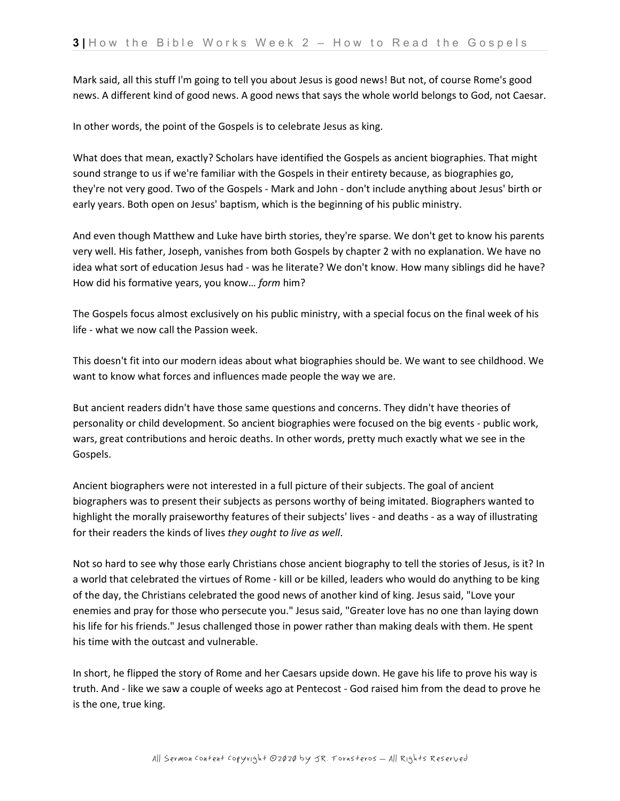Mark said, all this stuff I'm going to tell you about Jesus is good news! But not, of course Rome's good news. A different kind of good news. A good news that says the whole world belongs to God, not Caesar.

In other words, the point of the Gospels is to celebrate Jesus as king.

What does that mean, exactly? Scholars have identified the Gospels as ancient biographies. That might sound strange to us if we're familiar with the Gospels in their entirety because, as biographies go, they're not very good. Two of the Gospels - Mark and John - don't include anything about Jesus' birth or early years. Both open on Jesus' baptism, which is the beginning of his public ministry.

And even though Matthew and Luke have birth stories, they're sparse. We don't get to know his parents very well. His father, Joseph, vanishes from both Gospels by chapter 2 with no explanation. We have no idea what sort of education Jesus had - was he literate? We don't know. How many siblings did he have? How did his formative years, you know… *form* him?

The Gospels focus almost exclusively on his public ministry, with a special focus on the final week of his life - what we now call the Passion week.

This doesn't fit into our modern ideas about what biographies should be. We want to see childhood. We want to know what forces and influences made people the way we are.

But ancient readers didn't have those same questions and concerns. They didn't have theories of personality or child development. So ancient biographies were focused on the big events - public work, wars, great contributions and heroic deaths. In other words, pretty much exactly what we see in the Gospels.

Ancient biographers were not interested in a full picture of their subjects. The goal of ancient biographers was to present their subjects as persons worthy of being imitated. Biographers wanted to highlight the morally praiseworthy features of their subjects' lives - and deaths - as a way of illustrating for their readers the kinds of lives *they ought to live as well*.

Not so hard to see why those early Christians chose ancient biography to tell the stories of Jesus, is it? In a world that celebrated the virtues of Rome - kill or be killed, leaders who would do anything to be king of the day, the Christians celebrated the good news of another kind of king. Jesus said, "Love your enemies and pray for those who persecute you." Jesus said, "Greater love has no one than laying down his life for his friends." Jesus challenged those in power rather than making deals with them. He spent his time with the outcast and vulnerable.

In short, he flipped the story of Rome and her Caesars upside down. He gave his life to prove his way is truth. And - like we saw a couple of weeks ago at Pentecost - God raised him from the dead to prove he is the one, true king.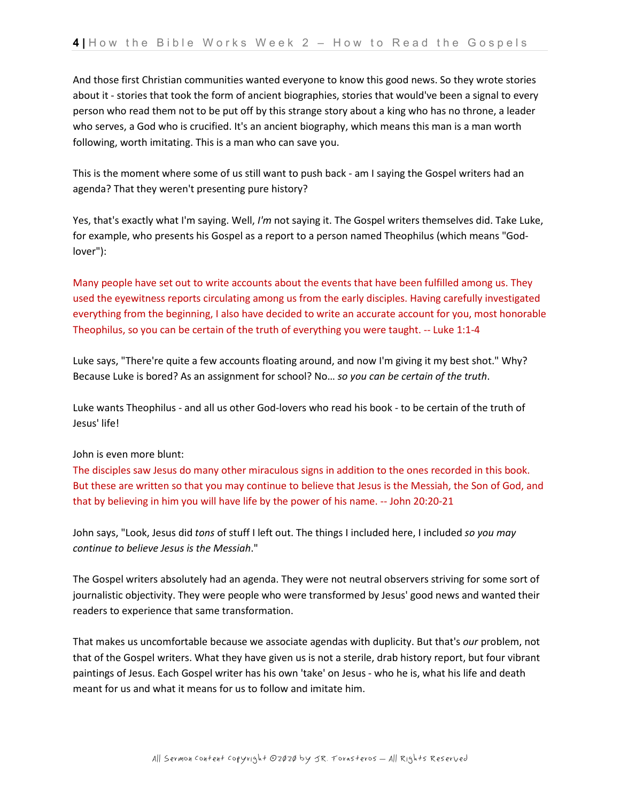And those first Christian communities wanted everyone to know this good news. So they wrote stories about it - stories that took the form of ancient biographies, stories that would've been a signal to every person who read them not to be put off by this strange story about a king who has no throne, a leader who serves, a God who is crucified. It's an ancient biography, which means this man is a man worth following, worth imitating. This is a man who can save you.

This is the moment where some of us still want to push back - am I saying the Gospel writers had an agenda? That they weren't presenting pure history?

Yes, that's exactly what I'm saying. Well, *I'm* not saying it. The Gospel writers themselves did. Take Luke, for example, who presents his Gospel as a report to a person named Theophilus (which means "Godlover"):

Many people have set out to write accounts about the events that have been fulfilled among us. They used the eyewitness reports circulating among us from the early disciples. Having carefully investigated everything from the beginning, I also have decided to write an accurate account for you, most honorable Theophilus, so you can be certain of the truth of everything you were taught. -- Luke 1:1-4

Luke says, "There're quite a few accounts floating around, and now I'm giving it my best shot." Why? Because Luke is bored? As an assignment for school? No… *so you can be certain of the truth*.

Luke wants Theophilus - and all us other God-lovers who read his book - to be certain of the truth of Jesus' life!

John is even more blunt:

The disciples saw Jesus do many other miraculous signs in addition to the ones recorded in this book. But these are written so that you may continue to believe that Jesus is the Messiah, the Son of God, and that by believing in him you will have life by the power of his name. -- John 20:20-21

John says, "Look, Jesus did *tons* of stuff I left out. The things I included here, I included *so you may continue to believe Jesus is the Messiah*."

The Gospel writers absolutely had an agenda. They were not neutral observers striving for some sort of journalistic objectivity. They were people who were transformed by Jesus' good news and wanted their readers to experience that same transformation.

That makes us uncomfortable because we associate agendas with duplicity. But that's *our* problem, not that of the Gospel writers. What they have given us is not a sterile, drab history report, but four vibrant paintings of Jesus. Each Gospel writer has his own 'take' on Jesus - who he is, what his life and death meant for us and what it means for us to follow and imitate him.